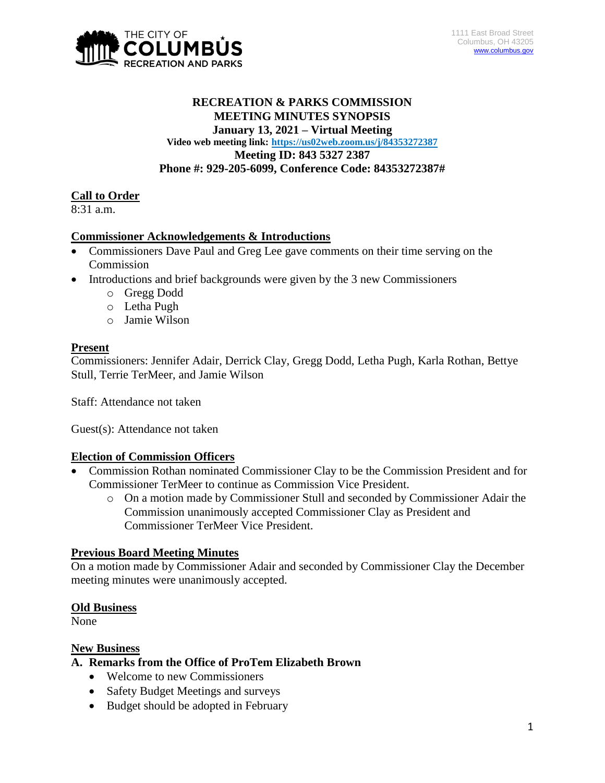

## **RECREATION & PARKS COMMISSION MEETING MINUTES SYNOPSIS January 13, 2021 – Virtual Meeting Video web meeting link: <https://us02web.zoom.us/j/84353272387> Meeting ID: 843 5327 2387 Phone #: 929-205-6099, Conference Code: 84353272387#**

### **Call to Order**

8:31 a.m.

#### **Commissioner Acknowledgements & Introductions**

- Commissioners Dave Paul and Greg Lee gave comments on their time serving on the Commission
- Introductions and brief backgrounds were given by the 3 new Commissioners
	- o Gregg Dodd
	- o Letha Pugh
	- o Jamie Wilson

#### **Present**

Commissioners: Jennifer Adair, Derrick Clay, Gregg Dodd, Letha Pugh, Karla Rothan, Bettye Stull, Terrie TerMeer, and Jamie Wilson

Staff: Attendance not taken

Guest(s): Attendance not taken

#### **Election of Commission Officers**

- Commission Rothan nominated Commissioner Clay to be the Commission President and for Commissioner TerMeer to continue as Commission Vice President.
	- o On a motion made by Commissioner Stull and seconded by Commissioner Adair the Commission unanimously accepted Commissioner Clay as President and Commissioner TerMeer Vice President.

#### **Previous Board Meeting Minutes**

On a motion made by Commissioner Adair and seconded by Commissioner Clay the December meeting minutes were unanimously accepted.

#### **Old Business**

None

#### **New Business**

#### **A. Remarks from the Office of ProTem Elizabeth Brown**

- Welcome to new Commissioners
- Safety Budget Meetings and surveys
- Budget should be adopted in February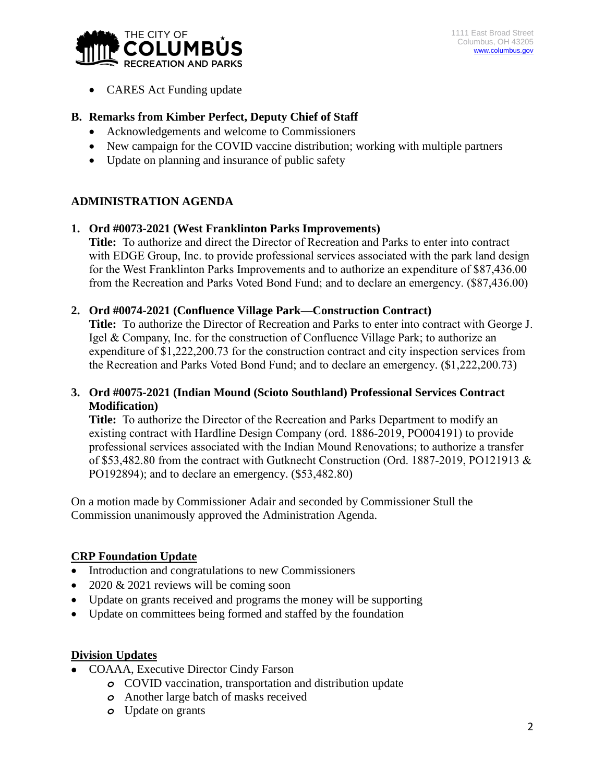

• CARES Act Funding update

# **B. Remarks from Kimber Perfect, Deputy Chief of Staff**

- Acknowledgements and welcome to Commissioners
- New campaign for the COVID vaccine distribution; working with multiple partners
- Update on planning and insurance of public safety

## **ADMINISTRATION AGENDA**

### **1. Ord #0073-2021 (West Franklinton Parks Improvements)**

**Title:** To authorize and direct the Director of Recreation and Parks to enter into contract with EDGE Group, Inc. to provide professional services associated with the park land design for the West Franklinton Parks Improvements and to authorize an expenditure of \$87,436.00 from the Recreation and Parks Voted Bond Fund; and to declare an emergency. (\$87,436.00)

### **2. Ord #0074-2021 (Confluence Village Park—Construction Contract)**

**Title:** To authorize the Director of Recreation and Parks to enter into contract with George J. Igel & Company, Inc. for the construction of Confluence Village Park; to authorize an expenditure of \$1,222,200.73 for the construction contract and city inspection services from the Recreation and Parks Voted Bond Fund; and to declare an emergency. (\$1,222,200.73)

## **3. Ord #0075-2021 (Indian Mound (Scioto Southland) Professional Services Contract Modification)**

**Title:** To authorize the Director of the Recreation and Parks Department to modify an existing contract with Hardline Design Company (ord. 1886-2019, PO004191) to provide professional services associated with the Indian Mound Renovations; to authorize a transfer of \$53,482.80 from the contract with Gutknecht Construction (Ord. 1887-2019, PO121913 & PO192894); and to declare an emergency. (\$53,482.80)

On a motion made by Commissioner Adair and seconded by Commissioner Stull the Commission unanimously approved the Administration Agenda.

## **CRP Foundation Update**

- Introduction and congratulations to new Commissioners
- $\cdot$  2020 & 2021 reviews will be coming soon
- Update on grants received and programs the money will be supporting
- Update on committees being formed and staffed by the foundation

## **Division Updates**

- COAAA, Executive Director Cindy Farson
	- *o* COVID vaccination, transportation and distribution update
	- *o* Another large batch of masks received
	- *o* Update on grants